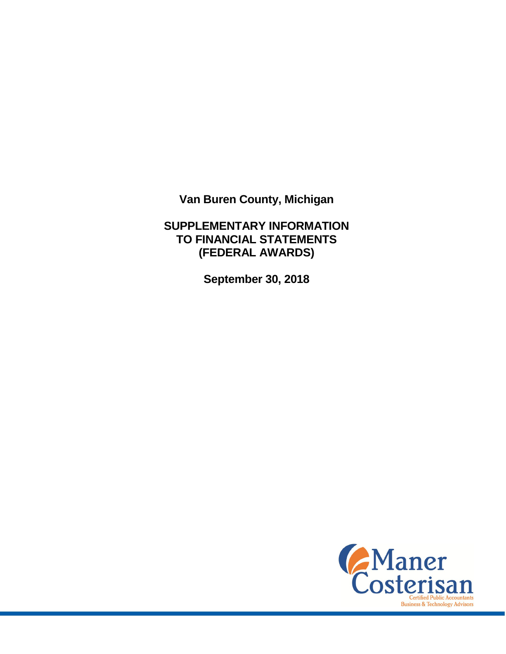**SUPPLEMENTARY INFORMATION TO FINANCIAL STATEMENTS (FEDERAL AWARDS)**

**September 30, 2018**

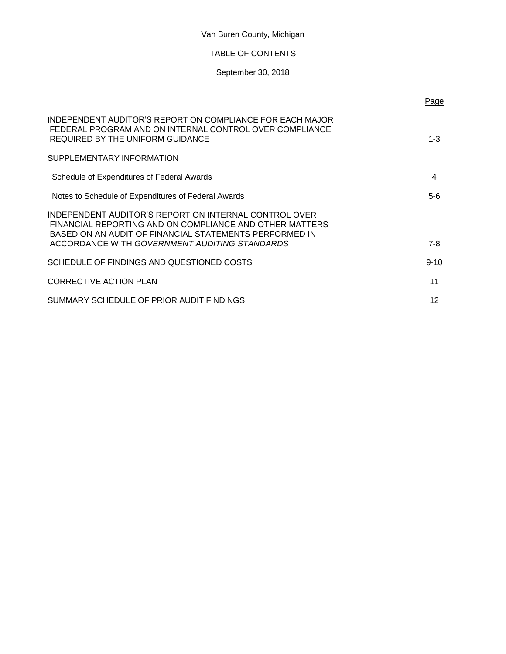# TABLE OF CONTENTS

# September 30, 2018

|                                                                                                                                                                                                                             | Page     |
|-----------------------------------------------------------------------------------------------------------------------------------------------------------------------------------------------------------------------------|----------|
| INDEPENDENT AUDITOR'S REPORT ON COMPLIANCE FOR EACH MAJOR<br>FEDERAL PROGRAM AND ON INTERNAL CONTROL OVER COMPLIANCE<br><b>REQUIRED BY THE UNIFORM GUIDANCE</b>                                                             | $1 - 3$  |
| SUPPLEMENTARY INFORMATION                                                                                                                                                                                                   |          |
| Schedule of Expenditures of Federal Awards                                                                                                                                                                                  | 4        |
| Notes to Schedule of Expenditures of Federal Awards                                                                                                                                                                         | 5-6      |
| INDEPENDENT AUDITOR'S REPORT ON INTERNAL CONTROL OVER<br>FINANCIAL REPORTING AND ON COMPLIANCE AND OTHER MATTERS<br>BASED ON AN AUDIT OF FINANCIAL STATEMENTS PERFORMED IN<br>ACCORDANCE WITH GOVERNMENT AUDITING STANDARDS | 7-8      |
| SCHEDULE OF FINDINGS AND QUESTIONED COSTS                                                                                                                                                                                   | $9 - 10$ |
| <b>CORRECTIVE ACTION PLAN</b>                                                                                                                                                                                               | 11       |
| SUMMARY SCHEDULE OF PRIOR AUDIT FINDINGS                                                                                                                                                                                    | 12       |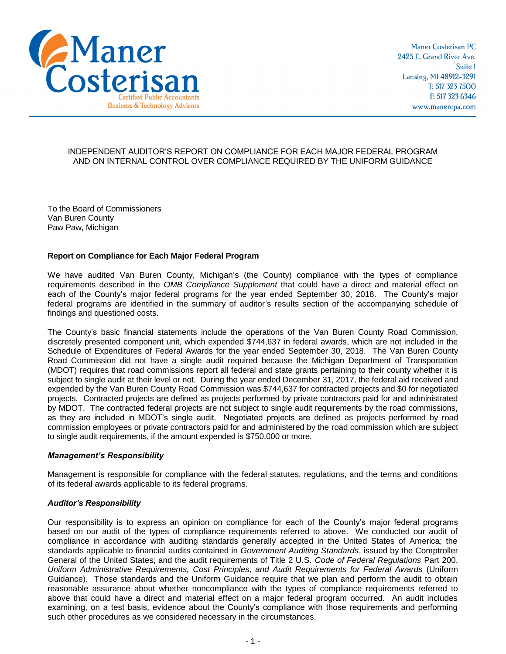

#### INDEPENDENT AUDITOR'S REPORT ON COMPLIANCE FOR EACH MAJOR FEDERAL PROGRAM AND ON INTERNAL CONTROL OVER COMPLIANCE REQUIRED BY THE UNIFORM GUIDANCE

To the Board of Commissioners Van Buren County Paw Paw, Michigan

# **Report on Compliance for Each Major Federal Program**

We have audited Van Buren County, Michigan's (the County) compliance with the types of compliance requirements described in the *OMB Compliance Supplement* that could have a direct and material effect on each of the County's major federal programs for the year ended September 30, 2018. The County's major federal programs are identified in the summary of auditor's results section of the accompanying schedule of findings and questioned costs.

The County's basic financial statements include the operations of the Van Buren County Road Commission, discretely presented component unit, which expended \$744,637 in federal awards, which are not included in the Schedule of Expenditures of Federal Awards for the year ended September 30, 2018. The Van Buren County Road Commission did not have a single audit required because the Michigan Department of Transportation (MDOT) requires that road commissions report all federal and state grants pertaining to their county whether it is subject to single audit at their level or not. During the year ended December 31, 2017, the federal aid received and expended by the Van Buren County Road Commission was \$744,637 for contracted projects and \$0 for negotiated projects. Contracted projects are defined as projects performed by private contractors paid for and administrated by MDOT. The contracted federal projects are not subject to single audit requirements by the road commissions, as they are included in MDOT's single audit. Negotiated projects are defined as projects performed by road commission employees or private contractors paid for and administered by the road commission which are subject to single audit requirements, if the amount expended is \$750,000 or more.

#### *Management's Responsibility*

Management is responsible for compliance with the federal statutes, regulations, and the terms and conditions of its federal awards applicable to its federal programs.

#### *Auditor's Responsibility*

Our responsibility is to express an opinion on compliance for each of the County's major federal programs based on our audit of the types of compliance requirements referred to above. We conducted our audit of compliance in accordance with auditing standards generally accepted in the United States of America; the standards applicable to financial audits contained in *Government Auditing Standards*, issued by the Comptroller General of the United States; and the audit requirements of Title 2 U.S. *Code of Federal Regulations* Part 200, *Uniform Administrative Requirements, Cost Principles, and Audit Requirements for Federal Awards* (Uniform Guidance). Those standards and the Uniform Guidance require that we plan and perform the audit to obtain reasonable assurance about whether noncompliance with the types of compliance requirements referred to above that could have a direct and material effect on a major federal program occurred. An audit includes examining, on a test basis, evidence about the County's compliance with those requirements and performing such other procedures as we considered necessary in the circumstances.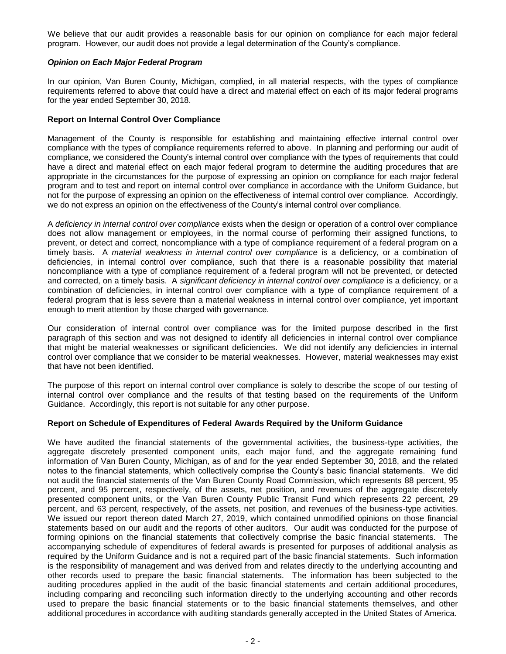We believe that our audit provides a reasonable basis for our opinion on compliance for each major federal program. However, our audit does not provide a legal determination of the County's compliance.

#### *Opinion on Each Major Federal Program*

In our opinion, Van Buren County, Michigan, complied, in all material respects, with the types of compliance requirements referred to above that could have a direct and material effect on each of its major federal programs for the year ended September 30, 2018.

# **Report on Internal Control Over Compliance**

Management of the County is responsible for establishing and maintaining effective internal control over compliance with the types of compliance requirements referred to above. In planning and performing our audit of compliance, we considered the County's internal control over compliance with the types of requirements that could have a direct and material effect on each major federal program to determine the auditing procedures that are appropriate in the circumstances for the purpose of expressing an opinion on compliance for each major federal program and to test and report on internal control over compliance in accordance with the Uniform Guidance, but not for the purpose of expressing an opinion on the effectiveness of internal control over compliance. Accordingly, we do not express an opinion on the effectiveness of the County's internal control over compliance.

A *deficiency in internal control over compliance* exists when the design or operation of a control over compliance does not allow management or employees, in the normal course of performing their assigned functions, to prevent, or detect and correct, noncompliance with a type of compliance requirement of a federal program on a timely basis. A *material weakness in internal control over compliance* is a deficiency, or a combination of deficiencies, in internal control over compliance, such that there is a reasonable possibility that material noncompliance with a type of compliance requirement of a federal program will not be prevented, or detected and corrected, on a timely basis. A *significant deficiency in internal control over compliance* is a deficiency, or a combination of deficiencies, in internal control over compliance with a type of compliance requirement of a federal program that is less severe than a material weakness in internal control over compliance, yet important enough to merit attention by those charged with governance.

Our consideration of internal control over compliance was for the limited purpose described in the first paragraph of this section and was not designed to identify all deficiencies in internal control over compliance that might be material weaknesses or significant deficiencies. We did not identify any deficiencies in internal control over compliance that we consider to be material weaknesses. However, material weaknesses may exist that have not been identified.

The purpose of this report on internal control over compliance is solely to describe the scope of our testing of internal control over compliance and the results of that testing based on the requirements of the Uniform Guidance. Accordingly, this report is not suitable for any other purpose.

#### **Report on Schedule of Expenditures of Federal Awards Required by the Uniform Guidance**

We have audited the financial statements of the governmental activities, the business-type activities, the aggregate discretely presented component units, each major fund, and the aggregate remaining fund information of Van Buren County, Michigan, as of and for the year ended September 30, 2018, and the related notes to the financial statements, which collectively comprise the County's basic financial statements. We did not audit the financial statements of the Van Buren County Road Commission, which represents 88 percent, 95 percent, and 95 percent, respectively, of the assets, net position, and revenues of the aggregate discretely presented component units, or the Van Buren County Public Transit Fund which represents 22 percent, 29 percent, and 63 percent, respectively, of the assets, net position, and revenues of the business-type activities. We issued our report thereon dated March 27, 2019, which contained unmodified opinions on those financial statements based on our audit and the reports of other auditors. Our audit was conducted for the purpose of forming opinions on the financial statements that collectively comprise the basic financial statements. The accompanying schedule of expenditures of federal awards is presented for purposes of additional analysis as required by the Uniform Guidance and is not a required part of the basic financial statements. Such information is the responsibility of management and was derived from and relates directly to the underlying accounting and other records used to prepare the basic financial statements. The information has been subjected to the auditing procedures applied in the audit of the basic financial statements and certain additional procedures, including comparing and reconciling such information directly to the underlying accounting and other records used to prepare the basic financial statements or to the basic financial statements themselves, and other additional procedures in accordance with auditing standards generally accepted in the United States of America.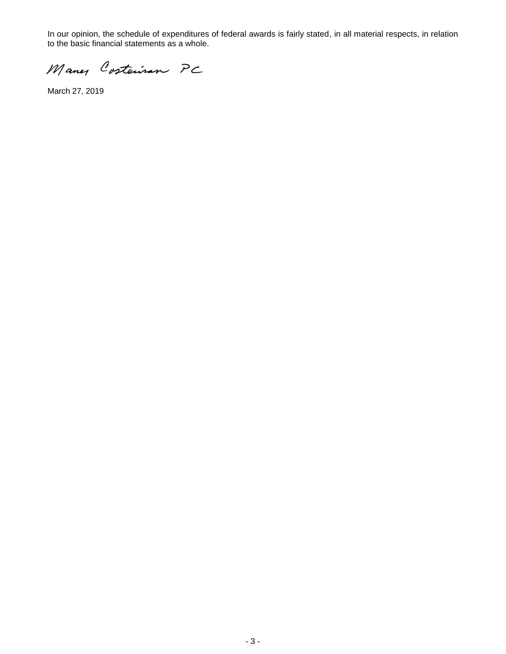In our opinion, the schedule of expenditures of federal awards is fairly stated, in all material respects, in relation to the basic financial statements as a whole.

Many Costerinan PC

March 27, 2019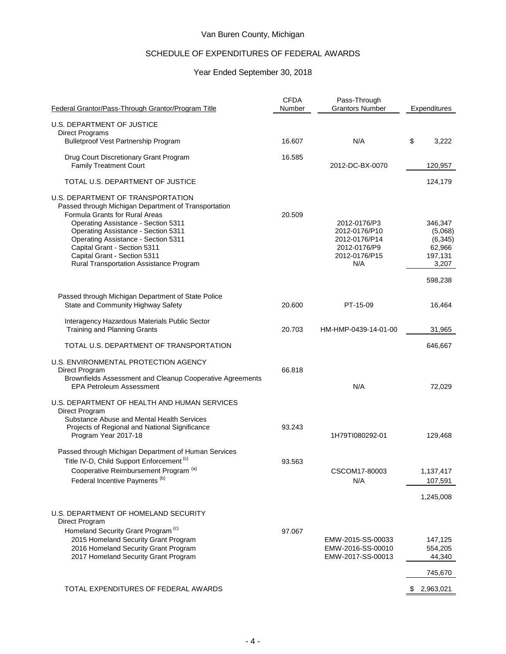# SCHEDULE OF EXPENDITURES OF FEDERAL AWARDS

# Year Ended September 30, 2018

| Federal Grantor/Pass-Through Grantor/Program Title          | <b>CFDA</b><br>Number | Pass-Through<br><b>Grantors Number</b> | Expenditures    |  |
|-------------------------------------------------------------|-----------------------|----------------------------------------|-----------------|--|
|                                                             |                       |                                        |                 |  |
| <b>U.S. DEPARTMENT OF JUSTICE</b><br><b>Direct Programs</b> |                       |                                        |                 |  |
| <b>Bulletproof Vest Partnership Program</b>                 | 16.607                | N/A                                    | \$<br>3,222     |  |
| Drug Court Discretionary Grant Program                      | 16.585                |                                        |                 |  |
| <b>Family Treatment Court</b>                               |                       | 2012-DC-BX-0070                        | 120,957         |  |
| TOTAL U.S. DEPARTMENT OF JUSTICE                            |                       |                                        | 124,179         |  |
| U.S. DEPARTMENT OF TRANSPORTATION                           |                       |                                        |                 |  |
| Passed through Michigan Department of Transportation        |                       |                                        |                 |  |
| Formula Grants for Rural Areas                              | 20.509                |                                        |                 |  |
| Operating Assistance - Section 5311                         |                       | 2012-0176/P3                           | 346,347         |  |
| Operating Assistance - Section 5311                         |                       | 2012-0176/P10                          | (5,068)         |  |
| Operating Assistance - Section 5311                         |                       | 2012-0176/P14                          | (6, 345)        |  |
| Capital Grant - Section 5311                                |                       | 2012-0176/P9                           | 62,966          |  |
| Capital Grant - Section 5311                                |                       | 2012-0176/P15                          | 197,131         |  |
| Rural Transportation Assistance Program                     |                       | N/A                                    | 3,207           |  |
|                                                             |                       |                                        | 598,238         |  |
| Passed through Michigan Department of State Police          |                       |                                        |                 |  |
| State and Community Highway Safety                          | 20.600                | PT-15-09                               | 16,464          |  |
|                                                             |                       |                                        |                 |  |
| Interagency Hazardous Materials Public Sector               |                       |                                        |                 |  |
| <b>Training and Planning Grants</b>                         | 20.703                | HM-HMP-0439-14-01-00                   | 31,965          |  |
| TOTAL U.S. DEPARTMENT OF TRANSPORTATION                     |                       |                                        | 646,667         |  |
| U.S. ENVIRONMENTAL PROTECTION AGENCY                        |                       |                                        |                 |  |
| Direct Program                                              | 66.818                |                                        |                 |  |
| Brownfields Assessment and Cleanup Cooperative Agreements   |                       |                                        |                 |  |
| <b>EPA Petroleum Assessment</b>                             |                       | N/A                                    | 72,029          |  |
| U.S. DEPARTMENT OF HEALTH AND HUMAN SERVICES                |                       |                                        |                 |  |
| Direct Program                                              |                       |                                        |                 |  |
| Substance Abuse and Mental Health Services                  |                       |                                        |                 |  |
| Projects of Regional and National Significance              | 93.243                |                                        |                 |  |
| Program Year 2017-18                                        |                       | 1H79TI080292-01                        | 129,468         |  |
| Passed through Michigan Department of Human Services        |                       |                                        |                 |  |
| Title IV-D, Child Support Enforcement <sup>(c)</sup>        |                       |                                        |                 |  |
|                                                             | 93.563                |                                        |                 |  |
| Cooperative Reimbursement Program <sup>(a)</sup>            |                       | CSCOM17-80003                          | 1,137,417       |  |
| Federal Incentive Payments <sup>(b)</sup>                   |                       | N/A                                    | 107,591         |  |
|                                                             |                       |                                        | 1,245,008       |  |
| U.S. DEPARTMENT OF HOMELAND SECURITY                        |                       |                                        |                 |  |
| Direct Program                                              |                       |                                        |                 |  |
| Homeland Security Grant Program <sup>(c)</sup>              | 97.067                |                                        |                 |  |
| 2015 Homeland Security Grant Program                        |                       | EMW-2015-SS-00033                      | 147,125         |  |
| 2016 Homeland Security Grant Program                        |                       | EMW-2016-SS-00010                      | 554,205         |  |
| 2017 Homeland Security Grant Program                        |                       | EMW-2017-SS-00013                      | 44,340          |  |
|                                                             |                       |                                        |                 |  |
|                                                             |                       |                                        | 745,670         |  |
| TOTAL EXPENDITURES OF FEDERAL AWARDS                        |                       |                                        | 2,963,021<br>S. |  |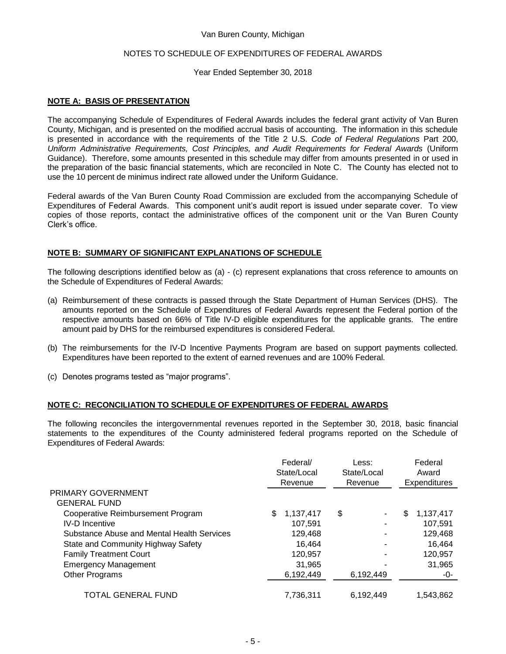#### NOTES TO SCHEDULE OF EXPENDITURES OF FEDERAL AWARDS

Year Ended September 30, 2018

#### **NOTE A: BASIS OF PRESENTATION**

The accompanying Schedule of Expenditures of Federal Awards includes the federal grant activity of Van Buren County, Michigan, and is presented on the modified accrual basis of accounting. The information in this schedule is presented in accordance with the requirements of the Title 2 U.S. *Code of Federal Regulations* Part 200, *Uniform Administrative Requirements, Cost Principles, and Audit Requirements for Federal Awards* (Uniform Guidance). Therefore, some amounts presented in this schedule may differ from amounts presented in or used in the preparation of the basic financial statements, which are reconciled in Note C. The County has elected not to use the 10 percent de minimus indirect rate allowed under the Uniform Guidance.

Federal awards of the Van Buren County Road Commission are excluded from the accompanying Schedule of Expenditures of Federal Awards. This component unit's audit report is issued under separate cover. To view copies of those reports, contact the administrative offices of the component unit or the Van Buren County Clerk's office.

#### **NOTE B: SUMMARY OF SIGNIFICANT EXPLANATIONS OF SCHEDULE**

The following descriptions identified below as (a) - (c) represent explanations that cross reference to amounts on the Schedule of Expenditures of Federal Awards:

- (a) Reimbursement of these contracts is passed through the State Department of Human Services (DHS). The amounts reported on the Schedule of Expenditures of Federal Awards represent the Federal portion of the respective amounts based on 66% of Title IV-D eligible expenditures for the applicable grants. The entire amount paid by DHS for the reimbursed expenditures is considered Federal.
- (b) The reimbursements for the IV-D Incentive Payments Program are based on support payments collected. Expenditures have been reported to the extent of earned revenues and are 100% Federal.
- (c) Denotes programs tested as "major programs".

#### **NOTE C: RECONCILIATION TO SCHEDULE OF EXPENDITURES OF FEDERAL AWARDS**

The following reconciles the intergovernmental revenues reported in the September 30, 2018, basic financial statements to the expenditures of the County administered federal programs reported on the Schedule of Expenditures of Federal Awards:

|                                            | Federal/<br>State/Local<br>Revenue | Less:<br>State/Local<br>Revenue | Federal<br>Award<br>Expenditures |
|--------------------------------------------|------------------------------------|---------------------------------|----------------------------------|
| PRIMARY GOVERNMENT                         |                                    |                                 |                                  |
| <b>GENERAL FUND</b>                        |                                    |                                 |                                  |
| Cooperative Reimbursement Program          | \$.<br>1,137,417                   | \$<br>۰                         | \$<br>1,137,417                  |
| <b>IV-D</b> Incentive                      | 107.591                            | ۰                               | 107.591                          |
| Substance Abuse and Mental Health Services | 129,468                            |                                 | 129,468                          |
| State and Community Highway Safety         | 16.464                             |                                 | 16,464                           |
| <b>Family Treatment Court</b>              | 120.957                            |                                 | 120.957                          |
| <b>Emergency Management</b>                | 31,965                             |                                 | 31,965                           |
| Other Programs                             | 6,192,449                          | 6,192,449                       | -0-                              |
| TOTAL GENERAL FUND                         | 7,736,311                          | 6.192.449                       | 1,543,862                        |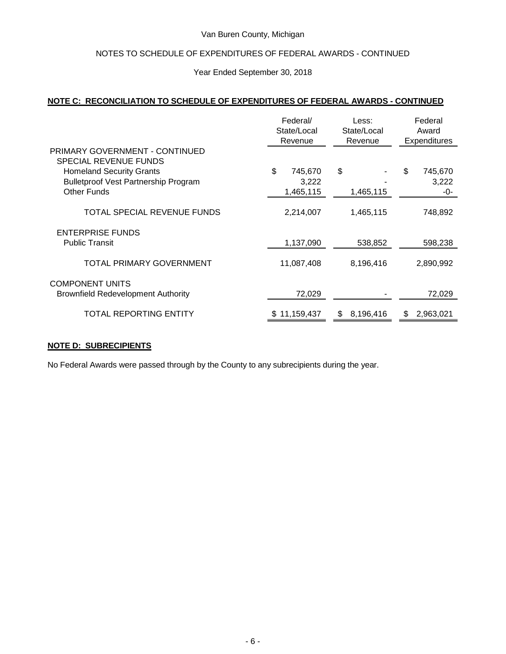# NOTES TO SCHEDULE OF EXPENDITURES OF FEDERAL AWARDS - CONTINUED

Year Ended September 30, 2018

# **NOTE C: RECONCILIATION TO SCHEDULE OF EXPENDITURES OF FEDERAL AWARDS - CONTINUED**

|                                                                                | Federal/<br>State/Local<br>Revenue | Less:<br>State/Local<br>Revenue | Federal<br>Award<br><b>Expenditures</b> |
|--------------------------------------------------------------------------------|------------------------------------|---------------------------------|-----------------------------------------|
| PRIMARY GOVERNMENT - CONTINUED<br><b>SPECIAL REVENUE FUNDS</b>                 |                                    |                                 |                                         |
| <b>Homeland Security Grants</b><br><b>Bulletproof Vest Partnership Program</b> | \$<br>745,670<br>3,222             | \$                              | \$<br>745,670<br>3,222                  |
| <b>Other Funds</b>                                                             | 1,465,115                          | 1,465,115                       | -0-                                     |
| TOTAL SPECIAL REVENUE FUNDS                                                    | 2,214,007                          | 1,465,115                       | 748,892                                 |
| <b>ENTERPRISE FUNDS</b>                                                        |                                    |                                 |                                         |
| <b>Public Transit</b>                                                          | 1,137,090                          | 538,852                         | 598,238                                 |
| TOTAL PRIMARY GOVERNMENT                                                       | 11,087,408                         | 8,196,416                       | 2,890,992                               |
| <b>COMPONENT UNITS</b><br><b>Brownfield Redevelopment Authority</b>            | 72,029                             |                                 | 72,029                                  |
| <b>TOTAL REPORTING ENTITY</b>                                                  | 11,159,437                         | 8,196,416<br>S                  | 2,963,021<br>\$                         |

# **NOTE D: SUBRECIPIENTS**

No Federal Awards were passed through by the County to any subrecipients during the year.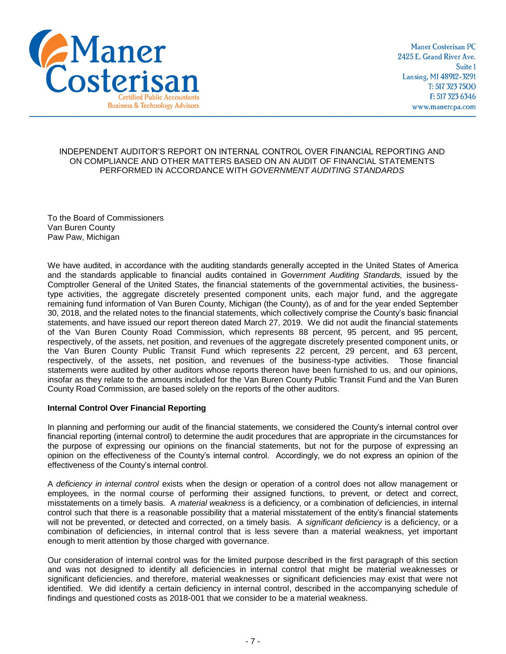

Maner Costerisan PC 2425 E. Grand River Ave. Suite 1 Lansing, MI 48912-3291 T: 517 323 7500 F: 517 323 6346 www.manercpa.com

#### INDEPENDENT AUDITOR'S REPORT ON INTERNAL CONTROL OVER FINANCIAL REPORTING AND ON COMPLIANCE AND OTHER MATTERS BASED ON AN AUDIT OF FINANCIAL STATEMENTS PERFORMED IN ACCORDANCE WITH *GOVERNMENT AUDITING STANDARDS*

To the Board of Commissioners Van Buren County Paw Paw, Michigan

We have audited, in accordance with the auditing standards generally accepted in the United States of America and the standards applicable to financial audits contained in *Government Auditing Standards,* issued by the Comptroller General of the United States, the financial statements of the governmental activities, the businesstype activities, the aggregate discretely presented component units, each major fund, and the aggregate remaining fund information of Van Buren County, Michigan (the County), as of and for the year ended September 30, 2018, and the related notes to the financial statements, which collectively comprise the County's basic financial statements, and have issued our report thereon dated March 27, 2019. We did not audit the financial statements of the Van Buren County Road Commission, which represents 88 percent, 95 percent, and 95 percent, respectively, of the assets, net position, and revenues of the aggregate discretely presented component units, or the Van Buren County Public Transit Fund which represents 22 percent, 29 percent, and 63 percent, respectively, of the assets, net position, and revenues of the business-type activities. Those financial statements were audited by other auditors whose reports thereon have been furnished to us, and our opinions, insofar as they relate to the amounts included for the Van Buren County Public Transit Fund and the Van Buren County Road Commission, are based solely on the reports of the other auditors.

# **Internal Control Over Financial Reporting**

In planning and performing our audit of the financial statements, we considered the County's internal control over financial reporting (internal control) to determine the audit procedures that are appropriate in the circumstances for the purpose of expressing our opinions on the financial statements, but not for the purpose of expressing an opinion on the effectiveness of the County's internal control. Accordingly, we do not express an opinion of the effectiveness of the County's internal control.

A *deficiency in internal control* exists when the design or operation of a control does not allow management or employees, in the normal course of performing their assigned functions, to prevent, or detect and correct, misstatements on a timely basis. A *material weakness* is a deficiency, or a combination of deficiencies, in internal control such that there is a reasonable possibility that a material misstatement of the entity's financial statements will not be prevented, or detected and corrected, on a timely basis. A *significant deficiency* is a deficiency, or a combination of deficiencies, in internal control that is less severe than a material weakness, yet important enough to merit attention by those charged with governance.

Our consideration of internal control was for the limited purpose described in the first paragraph of this section and was not designed to identify all deficiencies in internal control that might be material weaknesses or significant deficiencies, and therefore, material weaknesses or significant deficiencies may exist that were not identified. We did identify a certain deficiency in internal control, described in the accompanying schedule of findings and questioned costs as 2018-001 that we consider to be a material weakness.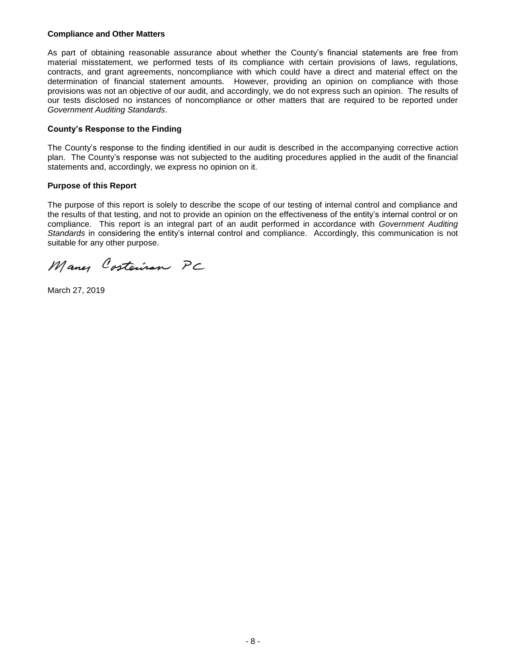#### **Compliance and Other Matters**

As part of obtaining reasonable assurance about whether the County's financial statements are free from material misstatement, we performed tests of its compliance with certain provisions of laws, regulations, contracts, and grant agreements, noncompliance with which could have a direct and material effect on the determination of financial statement amounts. However, providing an opinion on compliance with those provisions was not an objective of our audit, and accordingly, we do not express such an opinion. The results of our tests disclosed no instances of noncompliance or other matters that are required to be reported under *Government Auditing Standards*.

#### **County's Response to the Finding**

The County's response to the finding identified in our audit is described in the accompanying corrective action plan. The County's response was not subjected to the auditing procedures applied in the audit of the financial statements and, accordingly, we express no opinion on it.

# **Purpose of this Report**

The purpose of this report is solely to describe the scope of our testing of internal control and compliance and the results of that testing, and not to provide an opinion on the effectiveness of the entity's internal control or on compliance. This report is an integral part of an audit performed in accordance with *Government Auditing Standards* in considering the entity's internal control and compliance. Accordingly, this communication is not suitable for any other purpose.

Many Costerion PC

March 27, 2019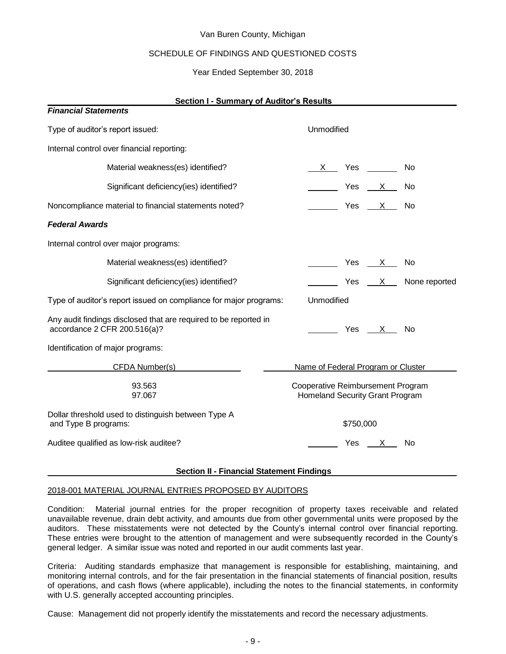# SCHEDULE OF FINDINGS AND QUESTIONED COSTS

# Year Ended September 30, 2018

#### **Section I - Summary of Auditor's Results**

| Type of auditor's report issued:                                                                 | Unmodified                                                                                                                                                                                                                                  |  |  |
|--------------------------------------------------------------------------------------------------|---------------------------------------------------------------------------------------------------------------------------------------------------------------------------------------------------------------------------------------------|--|--|
| Internal control over financial reporting:                                                       |                                                                                                                                                                                                                                             |  |  |
| Material weakness(es) identified?                                                                | $X$ Yes $\frac{1}{1}$<br>No                                                                                                                                                                                                                 |  |  |
| Significant deficiency(ies) identified?                                                          | __________ Yes ____ <u>X __</u> __ No                                                                                                                                                                                                       |  |  |
| Noncompliance material to financial statements noted?                                            | <b>Example Stress Stress Stress Stress Stress Stress Stress Stress Stress Stress Stress Stress Stress Stress Stress Stress Stress Stress Stress Stress Stress Stress Stress Stress Stress Stress Stress Stress Stress Stress Str</b><br>No. |  |  |
| <b>Federal Awards</b>                                                                            |                                                                                                                                                                                                                                             |  |  |
| Internal control over major programs:                                                            |                                                                                                                                                                                                                                             |  |  |
| Material weakness(es) identified?                                                                | Yes <u>X</u><br>No.                                                                                                                                                                                                                         |  |  |
| Significant deficiency(ies) identified?                                                          | Yes $X$ None reported                                                                                                                                                                                                                       |  |  |
| Type of auditor's report issued on compliance for major programs:                                | Unmodified                                                                                                                                                                                                                                  |  |  |
| Any audit findings disclosed that are required to be reported in<br>accordance 2 CFR 200.516(a)? | Yes X<br>No.                                                                                                                                                                                                                                |  |  |
| Identification of major programs:                                                                |                                                                                                                                                                                                                                             |  |  |
| CFDA Number(s)                                                                                   | Name of Federal Program or Cluster                                                                                                                                                                                                          |  |  |
| 93.563<br>97.067                                                                                 | Cooperative Reimbursement Program<br>Homeland Security Grant Program                                                                                                                                                                        |  |  |
| Dollar threshold used to distinguish between Type A<br>and Type B programs:                      | \$750,000                                                                                                                                                                                                                                   |  |  |
| Auditee qualified as low-risk auditee?                                                           | Yes <u>X</u><br><b>No</b>                                                                                                                                                                                                                   |  |  |
|                                                                                                  |                                                                                                                                                                                                                                             |  |  |

## **Section II - Financial Statement Findings**

#### 2018-001 MATERIAL JOURNAL ENTRIES PROPOSED BY AUDITORS

*Financial Statements*

Condition: Material journal entries for the proper recognition of property taxes receivable and related unavailable revenue, drain debt activity, and amounts due from other governmental units were proposed by the auditors. These misstatements were not detected by the County's internal control over financial reporting. These entries were brought to the attention of management and were subsequently recorded in the County's general ledger. A similar issue was noted and reported in our audit comments last year.

Criteria: Auditing standards emphasize that management is responsible for establishing, maintaining, and monitoring internal controls, and for the fair presentation in the financial statements of financial position, results of operations, and cash flows (where applicable), including the notes to the financial statements, in conformity with U.S. generally accepted accounting principles.

Cause: Management did not properly identify the misstatements and record the necessary adjustments.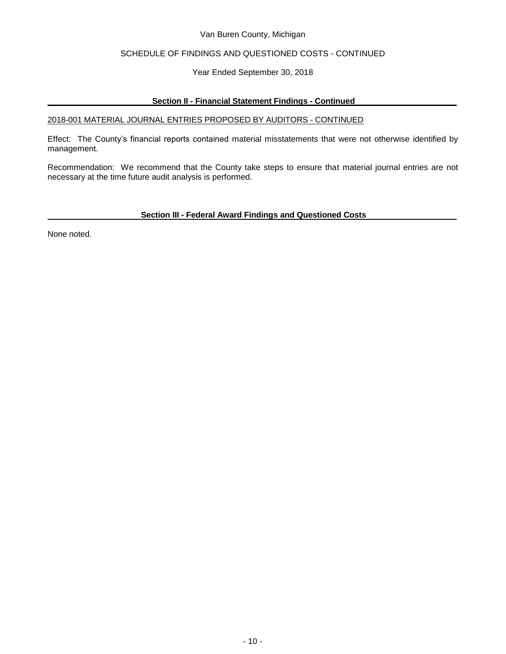# SCHEDULE OF FINDINGS AND QUESTIONED COSTS - CONTINUED

Year Ended September 30, 2018

# **Section II - Financial Statement Findings - Continued**

#### 2018-001 MATERIAL JOURNAL ENTRIES PROPOSED BY AUDITORS - CONTINUED

Effect: The County's financial reports contained material misstatements that were not otherwise identified by management.

Recommendation: We recommend that the County take steps to ensure that material journal entries are not necessary at the time future audit analysis is performed.

# **Section III - Federal Award Findings and Questioned Costs**

None noted.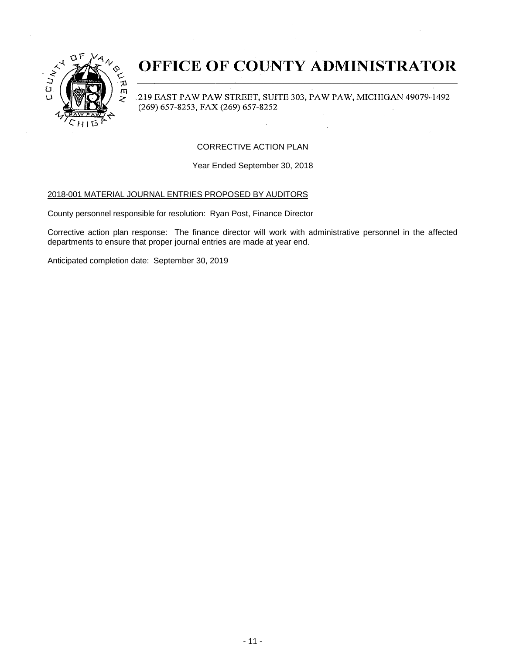

# OFFICE OF COUNTY ADMINISTRATOR

219 EAST PAW PAW STREET, SUITE 303, PAW PAW, MICHIGAN 49079-1492 (269) 657-8253, FAX (269) 657-8252

# CORRECTIVE ACTION PLAN

Year Ended September 30, 2018

# 2018-001 MATERIAL JOURNAL ENTRIES PROPOSED BY AUDITORS

County personnel responsible for resolution: Ryan Post, Finance Director

Corrective action plan response: The finance director will work with administrative personnel in the affected departments to ensure that proper journal entries are made at year end.

Anticipated completion date: September 30, 2019